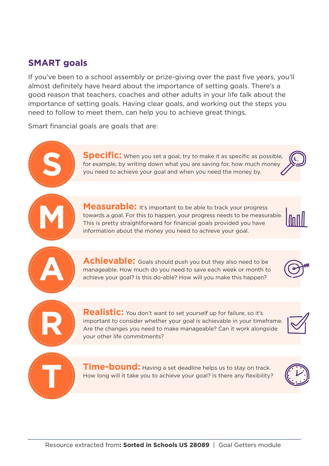## **SMART goals**

If you've been to a school assembly or prize-giving over the past five years, you'll almost definitely have heard about the importance of setting goals. There's a good reason that teachers, coaches and other adults in your life talk about the importance of setting goals. Having clear goals, and working out the steps you need to follow to meet them, can help you to achieve great things.

Smart financial goals are goals that are:



**Specific:** When you set a goal, try to make it as specific as possible, for example, by writing down what you are saving for, how much money you need to achieve your goal and when you need the money by.



**Measurable:** It's important to be able to track your progress towards a goal. For this to happen, your progress needs to be measurable. This is pretty straightforward for financial goals provided you have information about the money you need to achieve your goal.



Achievable: Goals should push you but they also need to be manageable. How much do you need to save each week or month to achieve your goal? Is this do-able? How will you make this happen?





Realistic: You don't want to set yourself up for failure, so it's important to consider whether your goal is achievable in your timeframe. Are the changes you need to make manageable? Can it work alongside your other life commitments?





**Time-bound:** Having a set deadline helps us to stay on track. How long will it take you to achieve your goal? Is there any flexibility?

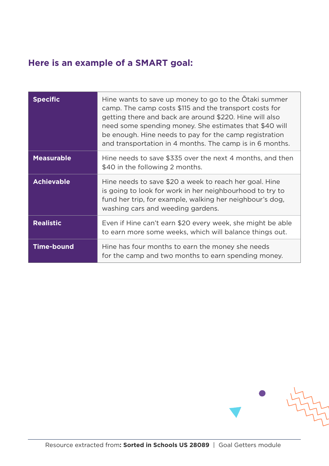## **Here is an example of a SMART goal:**

| <b>Specific</b>   | Hine wants to save up money to go to the Otaki summer<br>camp. The camp costs \$115 and the transport costs for<br>getting there and back are around \$220. Hine will also<br>need some spending money. She estimates that \$40 will<br>be enough. Hine needs to pay for the camp registration<br>and transportation in 4 months. The camp is in 6 months. |
|-------------------|------------------------------------------------------------------------------------------------------------------------------------------------------------------------------------------------------------------------------------------------------------------------------------------------------------------------------------------------------------|
| <b>Measurable</b> | Hine needs to save \$335 over the next 4 months, and then<br>\$40 in the following 2 months.                                                                                                                                                                                                                                                               |
| <b>Achievable</b> | Hine needs to save \$20 a week to reach her goal. Hine<br>is going to look for work in her neighbourhood to try to<br>fund her trip, for example, walking her neighbour's dog,<br>washing cars and weeding gardens.                                                                                                                                        |
| <b>Realistic</b>  | Even if Hine can't earn \$20 every week, she might be able<br>to earn more some weeks, which will balance things out.                                                                                                                                                                                                                                      |
| <b>Time-bound</b> | Hine has four months to earn the money she needs<br>for the camp and two months to earn spending money.                                                                                                                                                                                                                                                    |